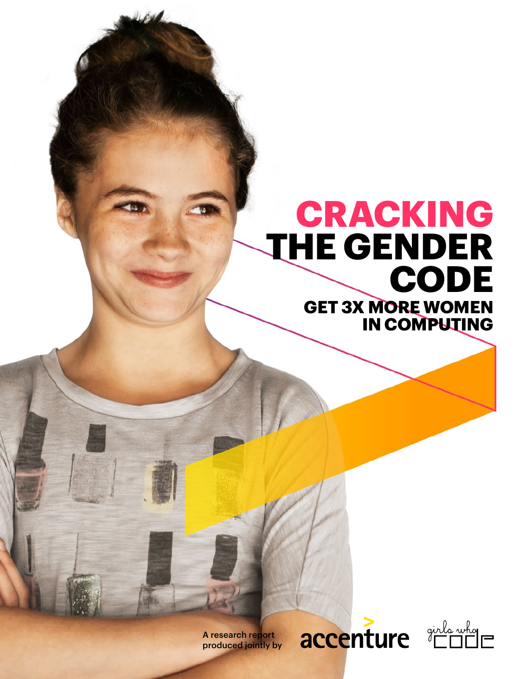## **CRACKING THE GENDER CODE**

### **GET 3X MORE WOMEN IN COMPUTING**

A research report produced jointly by



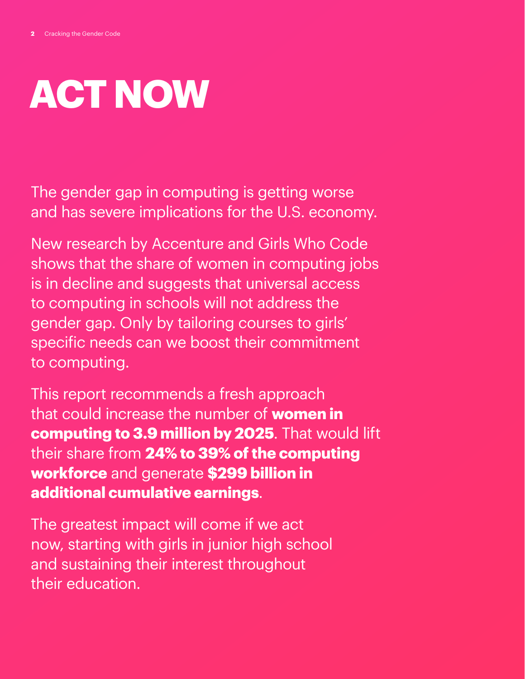# **ACT NOW**

The gender gap in computing is getting worse and has severe implications for the U.S. economy.

New research by Accenture and Girls Who Code shows that the share of women in computing jobs is in decline and suggests that universal access to computing in schools will not address the gender gap. Only by tailoring courses to girls' specific needs can we boost their commitment to computing.

This report recommends a fresh approach that could increase the number of **women in computing to 3.9 million by 2025**. That would lift their share from **24% to 39% of the computing workforce** and generate **\$299 billion in additional cumulative earnings**.

The greatest impact will come if we act now, starting with girls in junior high school and sustaining their interest throughout their education.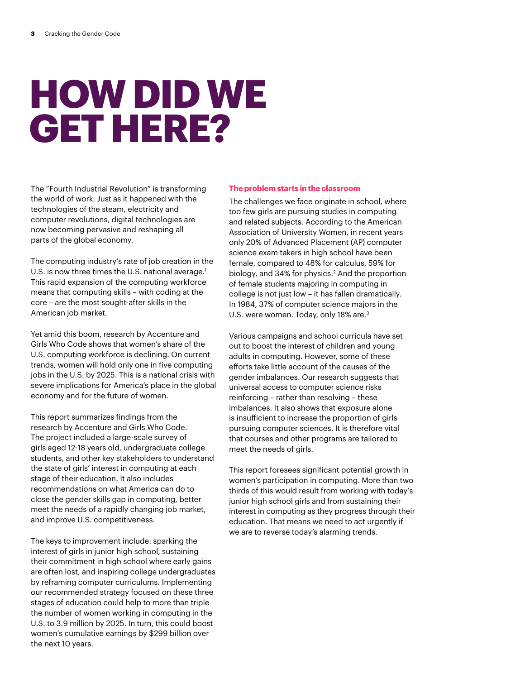# **HOW DID WE GET HERE?**

The "Fourth Industrial Revolution" is transforming the world of work. Just as it happened with the technologies of the steam, electricity and computer revolutions, digital technologies are now becoming pervasive and reshaping all parts of the global economy.

The computing industry's rate of job creation in the U.S. is now three times the U.S. national average.<sup>1</sup> This rapid expansion of the computing workforce means that computing skills – with coding at the core – are the most sought-after skills in the American job market.

Yet amid this boom, research by Accenture and Girls Who Code shows that women's share of the U.S. computing workforce is declining. On current trends, women will hold only one in five computing jobs in the U.S. by 2025. This is a national crisis with severe implications for America's place in the global economy and for the future of women.

This report summarizes findings from the research by Accenture and Girls Who Code. The project included a large-scale survey of girls aged 12-18 years old, undergraduate college students, and other key stakeholders to understand the state of girls' interest in computing at each stage of their education. It also includes recommendations on what America can do to close the gender skills gap in computing, better meet the needs of a rapidly changing job market, and improve U.S. competitiveness.

The keys to improvement include: sparking the interest of girls in junior high school, sustaining their commitment in high school where early gains are often lost, and inspiring college undergraduates by reframing computer curriculums. Implementing our recommended strategy focused on these three stages of education could help to more than triple the number of women working in computing in the U.S. to 3.9 million by 2025. In turn, this could boost women's cumulative earnings by \$299 billion over the next 10 years.

#### **The problem starts in the classroom**

The challenges we face originate in school, where too few girls are pursuing studies in computing and related subjects. According to the American Association of University Women, in recent years only 20% of Advanced Placement (AP) computer science exam takers in high school have been female, compared to 48% for calculus, 59% for biology, and 34% for physics.<sup>2</sup> And the proportion of female students majoring in computing in college is not just low – it has fallen dramatically. In 1984, 37% of computer science majors in the U.S. were women. Today, only 18% are.<sup>3</sup>

Various campaigns and school curricula have set out to boost the interest of children and young adults in computing. However, some of these efforts take little account of the causes of the gender imbalances. Our research suggests that universal access to computer science risks reinforcing – rather than resolving – these imbalances. It also shows that exposure alone is insufficient to increase the proportion of girls pursuing computer sciences. It is therefore vital that courses and other programs are tailored to meet the needs of girls.

This report foresees significant potential growth in women's participation in computing. More than two thirds of this would result from working with today's junior high school girls and from sustaining their interest in computing as they progress through their education. That means we need to act urgently if we are to reverse today's alarming trends.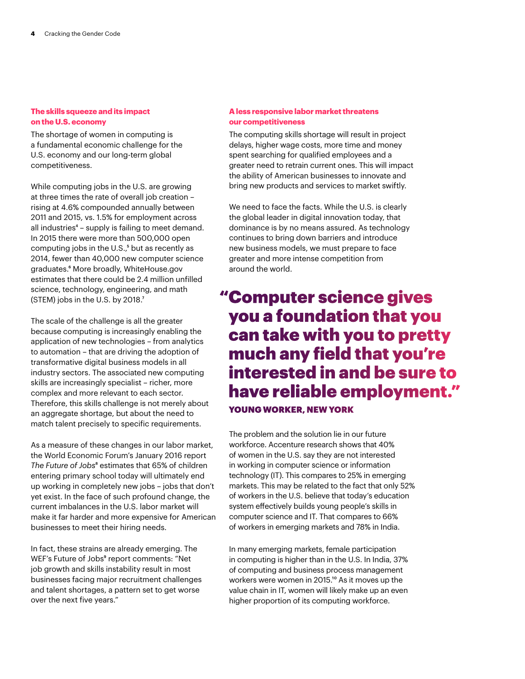#### **The skills squeeze and its impact on the U.S. economy**

The shortage of women in computing is a fundamental economic challenge for the U.S. economy and our long-term global competitiveness.

While computing jobs in the U.S. are growing at three times the rate of overall job creation – rising at 4.6% compounded annually between 2011 and 2015, vs. 1.5% for employment across all industries<sup>4</sup> – supply is failing to meet demand. In 2015 there were more than 500,000 open computing jobs in the U.S.,<sup>5</sup> but as recently as 2014, fewer than 40,000 new computer science graduates.<sup>6</sup> More broadly, WhiteHouse.gov estimates that there could be 2.4 million unfilled science, technology, engineering, and math (STEM) jobs in the U.S. by 2018.<sup>7</sup>

The scale of the challenge is all the greater because computing is increasingly enabling the application of new technologies – from analytics to automation – that are driving the adoption of transformative digital business models in all industry sectors. The associated new computing skills are increasingly specialist – richer, more complex and more relevant to each sector. Therefore, this skills challenge is not merely about an aggregate shortage, but about the need to match talent precisely to specific requirements.

As a measure of these changes in our labor market, the World Economic Forum's January 2016 report *The Future of Jobs*8 estimates that 65% of children entering primary school today will ultimately end up working in completely new jobs – jobs that don't yet exist. In the face of such profound change, the current imbalances in the U.S. labor market will make it far harder and more expensive for American businesses to meet their hiring needs.

In fact, these strains are already emerging. The WEF's Future of Jobs<sup>9</sup> report comments: "Net job growth and skills instability result in most businesses facing major recruitment challenges and talent shortages, a pattern set to get worse over the next five years."

#### **A less responsive labor market threatens our competitiveness**

The computing skills shortage will result in project delays, higher wage costs, more time and money spent searching for qualified employees and a greater need to retrain current ones. This will impact the ability of American businesses to innovate and bring new products and services to market swiftly.

We need to face the facts. While the U.S. is clearly the global leader in digital innovation today, that dominance is by no means assured. As technology continues to bring down barriers and introduce new business models, we must prepare to face greater and more intense competition from around the world.

### "Computer science gives you a foundation that you can take with you to pretty much any field that you're interested in and be sure to have reliable employment." YOUNG WORKER, NEW YORK

The problem and the solution lie in our future workforce. Accenture research shows that 40% of women in the U.S. say they are not interested in working in computer science or information technology (IT). This compares to 25% in emerging markets. This may be related to the fact that only 52% of workers in the U.S. believe that today's education system effectively builds young people's skills in computer science and IT. That compares to 66% of workers in emerging markets and 78% in India.

In many emerging markets, female participation in computing is higher than in the U.S. In India, 37% of computing and business process management workers were women in 2015.10 As it moves up the value chain in IT, women will likely make up an even higher proportion of its computing workforce.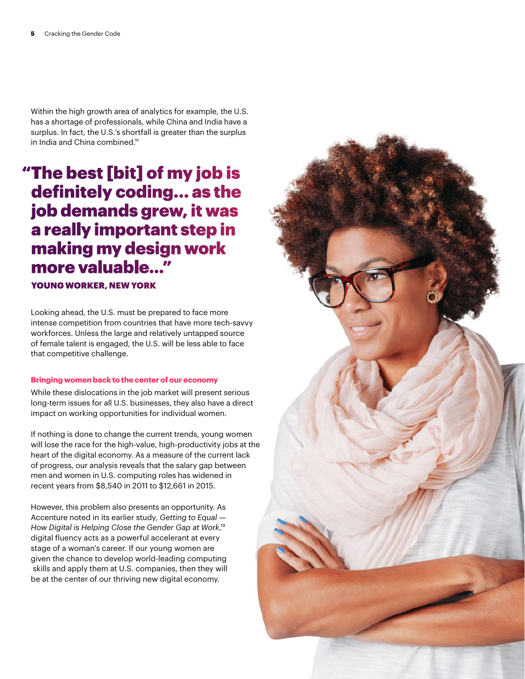Within the high growth area of analytics for example, the U.S. has a shortage of professionals, while China and India have a surplus. In fact, the U.S.'s shortfall is greater than the surplus in India and China combined.<sup>11</sup>

## "The best [bit] of my job is definitely coding… as the job demands grew, it was a really important step in making my design work more valuable..."

YOUNG WORKER, NEW YORK

Looking ahead, the U.S. must be prepared to face more intense competition from countries that have more tech-savvy workforces. Unless the large and relatively untapped source of female talent is engaged, the U.S. will be less able to face that competitive challenge.

#### **Bringing women back to the center of our economy**

While these dislocations in the job market will present serious long-term issues for all U.S. businesses, they also have a direct impact on working opportunities for individual women.

If nothing is done to change the current trends, young women will lose the race for the high-value, high-productivity jobs at the heart of the digital economy. As a measure of the current lack of progress, our analysis reveals that the salary gap between men and women in U.S. computing roles has widened in recent years from \$8,540 in 2011 to \$12,661 in 2015.

However, this problem also presents an opportunity. As Accenture noted in its earlier study, *Getting to Equal* — *How Digital is Helping Close the Gender Gap at Work*,12 digital fluency acts as a powerful accelerant at every stage of a woman's career. If our young women are given the chance to develop world-leading computing skills and apply them at U.S. companies, then they will be at the center of our thriving new digital economy.

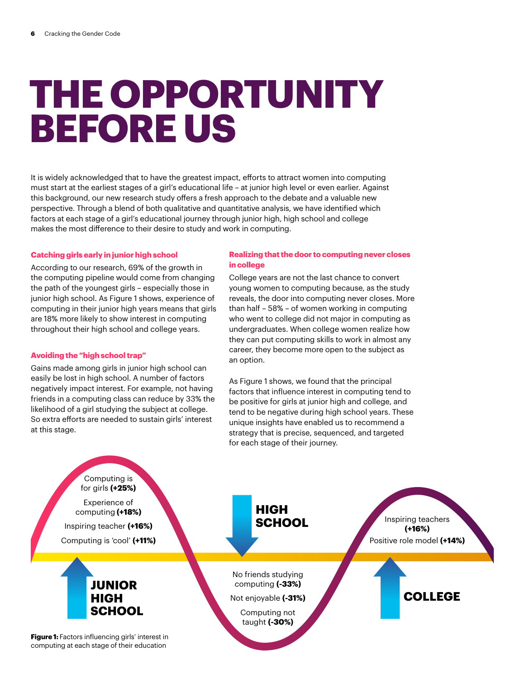# **THE OPPORTUNITY BEFORE US**

It is widely acknowledged that to have the greatest impact, efforts to attract women into computing must start at the earliest stages of a girl's educational life – at junior high level or even earlier. Against this background, our new research study offers a fresh approach to the debate and a valuable new perspective. Through a blend of both qualitative and quantitative analysis, we have identified which factors at each stage of a girl's educational journey through junior high, high school and college makes the most difference to their desire to study and work in computing.

#### **Catching girls early in junior high school**

According to our research, 69% of the growth in the computing pipeline would come from changing the path of the youngest girls – especially those in junior high school. As Figure 1 shows, experience of computing in their junior high years means that girls are 18% more likely to show interest in computing throughout their high school and college years.

#### **Avoiding the "high school trap"**

Gains made among girls in junior high school can easily be lost in high school. A number of factors negatively impact interest. For example, not having friends in a computing class can reduce by 33% the likelihood of a girl studying the subject at college. So extra efforts are needed to sustain girls' interest at this stage.

#### **Realizing that the door to computing never closes in college**

College years are not the last chance to convert young women to computing because, as the study reveals, the door into computing never closes. More than half – 58% – of women working in computing who went to college did not major in computing as undergraduates. When college women realize how they can put computing skills to work in almost any career, they become more open to the subject as an option.

As Figure 1 shows, we found that the principal factors that influence interest in computing tend to be positive for girls at junior high and college, and tend to be negative during high school years. These unique insights have enabled us to recommend a strategy that is precise, sequenced, and targeted for each stage of their journey.

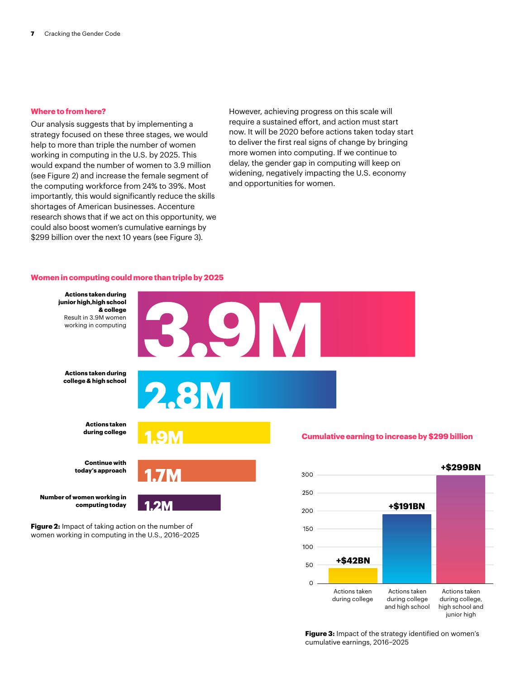#### **Where to from here?**

Our analysis suggests that by implementing a strategy focused on these three stages, we would help to more than triple the number of women working in computing in the U.S. by 2025. This would expand the number of women to 3.9 million (see Figure 2) and increase the female segment of the computing workforce from 24% to 39%. Most importantly, this would significantly reduce the skills shortages of American businesses. Accenture research shows that if we act on this opportunity, we could also boost women's cumulative earnings by \$299 billion over the next 10 years (see Figure 3).

However, achieving progress on this scale will require a sustained effort, and action must start now. It will be 2020 before actions taken today start to deliver the first real signs of change by bringing more women into computing. If we continue to delay, the gender gap in computing will keep on widening, negatively impacting the U.S. economy and opportunities for women.

#### **Women in computing could more than triple by 2025**



**Figure 3:** Impact of the strategy identified on women's cumulative earnings, 2016–2025

Actions taken during college and high school

Actions taken during college, high school and junior high

**+\$42BN**

 $50$ 

 $\Omega$ 

Actions taken during college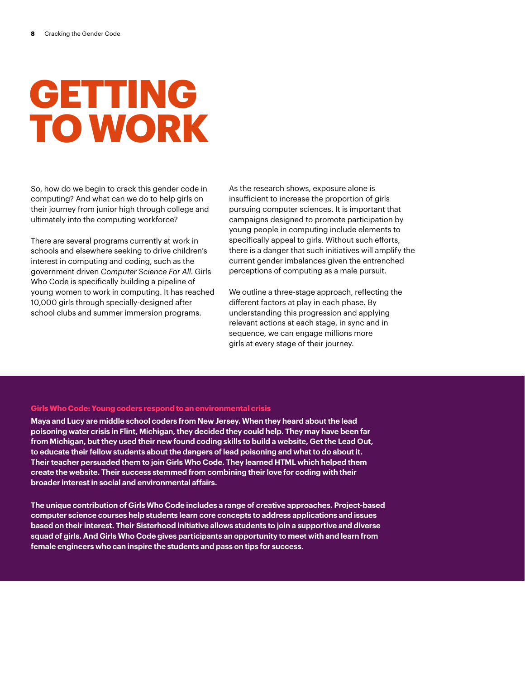# **GETTING TO WORK**

So, how do we begin to crack this gender code in computing? And what can we do to help girls on their journey from junior high through college and ultimately into the computing workforce?

There are several programs currently at work in schools and elsewhere seeking to drive children's interest in computing and coding, such as the government driven *Computer Science For All*. Girls Who Code is specifically building a pipeline of young women to work in computing. It has reached 10,000 girls through specially-designed after school clubs and summer immersion programs.

As the research shows, exposure alone is insufficient to increase the proportion of girls pursuing computer sciences. It is important that campaigns designed to promote participation by young people in computing include elements to specifically appeal to girls. Without such efforts, there is a danger that such initiatives will amplify the current gender imbalances given the entrenched perceptions of computing as a male pursuit.

We outline a three-stage approach, reflecting the different factors at play in each phase. By understanding this progression and applying relevant actions at each stage, in sync and in sequence, we can engage millions more girls at every stage of their journey.

#### **Girls Who Code: Young coders respond to an environmental crisis**

**Maya and Lucy are middle school coders from New Jersey. When they heard about the lead poisoning water crisis in Flint, Michigan, they decided they could help. They may have been far from Michigan, but they used their new found coding skills to build a website, Get the Lead Out, to educate their fellow students about the dangers of lead poisoning and what to do about it. Their teacher persuaded them to join Girls Who Code. They learned HTML which helped them create the website. Their success stemmed from combining their love for coding with their broader interest in social and environmental affairs.** 

**The unique contribution of Girls Who Code includes a range of creative approaches. Project-based computer science courses help students learn core concepts to address applications and issues based on their interest. Their Sisterhood initiative allows students to join a supportive and diverse squad of girls. And Girls Who Code gives participants an opportunity to meet with and learn from female engineers who can inspire the students and pass on tips for success.**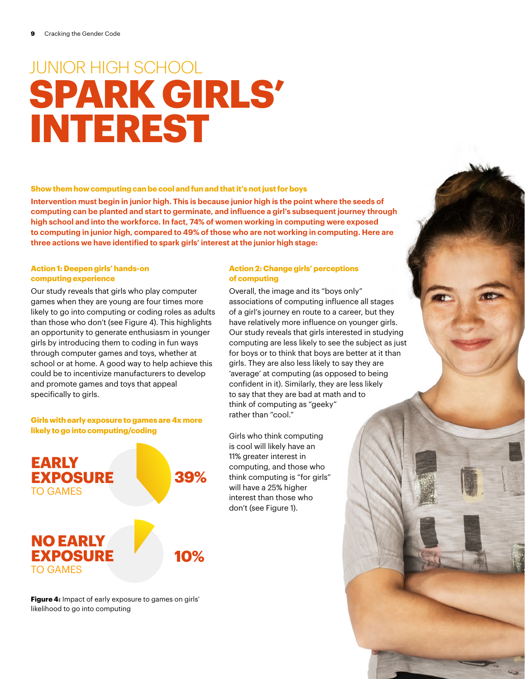## JUNIOR HIGH SCHOOL **SPARK GIRLS' INTEREST**

#### **Show them how computing can be cool and fun and that it's not just for boys**

**Intervention must begin in junior high. This is because junior high is the point where the seeds of computing can be planted and start to germinate, and influence a girl's subsequent journey through high school and into the workforce. In fact, 74% of women working in computing were exposed to computing in junior high, compared to 49% of those who are not working in computing. Here are three actions we have identified to spark girls' interest at the junior high stage:**

#### **Action 1: Deepen girls' hands-on computing experience**

Our study reveals that girls who play computer games when they are young are four times more likely to go into computing or coding roles as adults than those who don't (see Figure 4). This highlights an opportunity to generate enthusiasm in younger girls by introducing them to coding in fun ways through computer games and toys, whether at school or at home. A good way to help achieve this could be to incentivize manufacturers to develop and promote games and toys that appeal specifically to girls.

#### **Girls with early exposure to games are 4x more likely to go into computing/coding**



**Figure 4:** Impact of early exposure to games on girls' likelihood to go into computing

#### **Action 2: Change girls' perceptions of computing**

Overall, the image and its "boys only" associations of computing influence all stages of a girl's journey en route to a career, but they have relatively more influence on younger girls. Our study reveals that girls interested in studying computing are less likely to see the subject as just for boys or to think that boys are better at it than girls. They are also less likely to say they are 'average' at computing (as opposed to being confident in it). Similarly, they are less likely to say that they are bad at math and to think of computing as "geeky" rather than "cool."

Girls who think computing is cool will likely have an 11% greater interest in computing, and those who think computing is "for girls" will have a 25% higher interest than those who don't (see Figure 1).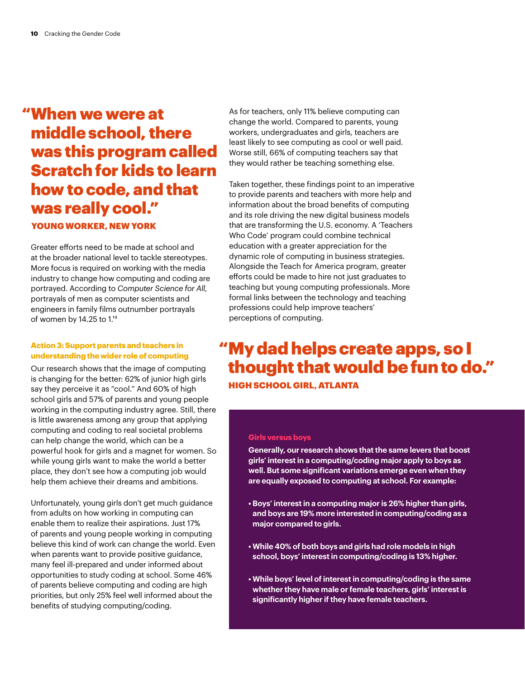### "When we were at middle school, there was this program called Scratch for kids to learn how to code, and that was really cool." YOUNG WORKER, NEW YORK

Greater efforts need to be made at school and at the broader national level to tackle stereotypes. More focus is required on working with the media industry to change how computing and coding are portrayed. According to *Computer Science for All*, portrayals of men as computer scientists and engineers in family films outnumber portrayals of women by 14.25 to 1.<sup>13</sup>

#### **Action 3: Support parents and teachers in understanding the wider role of computing**

Our research shows that the image of computing is changing for the better: 62% of junior high girls say they perceive it as "cool." And 60% of high school girls and 57% of parents and young people working in the computing industry agree. Still, there is little awareness among any group that applying computing and coding to real societal problems can help change the world, which can be a powerful hook for girls and a magnet for women. So while young girls want to make the world a better place, they don't see how a computing job would help them achieve their dreams and ambitions.

Unfortunately, young girls don't get much guidance from adults on how working in computing can enable them to realize their aspirations. Just 17% of parents and young people working in computing believe this kind of work can change the world. Even when parents want to provide positive guidance, many feel ill-prepared and under informed about opportunities to study coding at school. Some 46% of parents believe computing and coding are high priorities, but only 25% feel well informed about the benefits of studying computing/coding.

As for teachers, only 11% believe computing can change the world. Compared to parents, young workers, undergraduates and girls, teachers are least likely to see computing as cool or well paid. Worse still, 66% of computing teachers say that they would rather be teaching something else.

Taken together, these findings point to an imperative to provide parents and teachers with more help and information about the broad benefits of computing and its role driving the new digital business models that are transforming the U.S. economy. A 'Teachers Who Code' program could combine technical education with a greater appreciation for the dynamic role of computing in business strategies. Alongside the Teach for America program, greater efforts could be made to hire not just graduates to teaching but young computing professionals. More formal links between the technology and teaching professions could help improve teachers' perceptions of computing.

## "My dad helps create apps, so I thought that would be fun to do."

HIGH SCHOOL GIRL, ATLANTA

#### **Girls versus boys**

**Generally, our research shows that the same levers that boost girls' interest in a computing/coding major apply to boys as well. But some significant variations emerge even when they are equally exposed to computing at school. For example:**

- **Boys' interest in a computing major is 26% higher than girls, and boys are 19% more interested in computing/coding as a major compared to girls.**
- **While 40% of both boys and girls had role models in high school, boys' interest in computing/coding is 13% higher.**
- **While boys' level of interest in computing/coding is the same whether they have male or female teachers, girls' interest is significantly higher if they have female teachers.**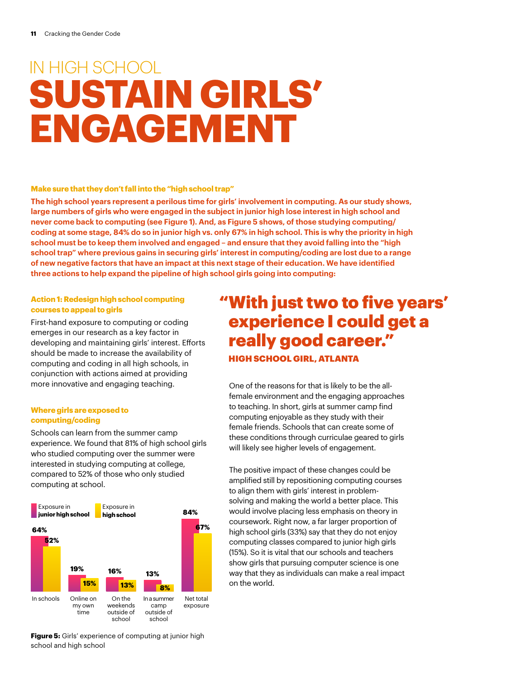## IN HIGH SCHOOL **SUSTAIN GIRLS' ENGAGEMENT**

#### **Make sure that they don't fall into the "high school trap"**

**The high school years represent a perilous time for girls' involvement in computing. As our study shows, large numbers of girls who were engaged in the subject in junior high lose interest in high school and never come back to computing (see Figure 1). And, as Figure 5 shows, of those studying computing/ coding at some stage, 84% do so in junior high vs. only 67% in high school. This is why the priority in high school must be to keep them involved and engaged – and ensure that they avoid falling into the "high school trap" where previous gains in securing girls' interest in computing/coding are lost due to a range of new negative factors that have an impact at this next stage of their education. We have identified three actions to help expand the pipeline of high school girls going into computing:**

#### **Action 1: Redesign high school computing courses to appeal to girls**

First-hand exposure to computing or coding emerges in our research as a key factor in developing and maintaining girls' interest. Efforts should be made to increase the availability of computing and coding in all high schools, in conjunction with actions aimed at providing more innovative and engaging teaching.

#### **Where girls are exposed to computing/coding**

Schools can learn from the summer camp experience. We found that 81% of high school girls who studied computing over the summer were interested in studying computing at college, compared to 52% of those who only studied computing at school.



"With just two to five years' experience I could get a really good career."

HIGH SCHOOL GIRL, ATLANTA

One of the reasons for that is likely to be the allfemale environment and the engaging approaches to teaching. In short, girls at summer camp find computing enjoyable as they study with their female friends. Schools that can create some of these conditions through curriculae geared to girls will likely see higher levels of engagement.

The positive impact of these changes could be amplified still by repositioning computing courses to align them with girls' interest in problemsolving and making the world a better place. This would involve placing less emphasis on theory in coursework. Right now, a far larger proportion of high school girls (33%) say that they do not enjoy computing classes compared to junior high girls (15%). So it is vital that our schools and teachers show girls that pursuing computer science is one way that they as individuals can make a real impact on the world.

**Figure 5:** Girls' experience of computing at junior high school and high school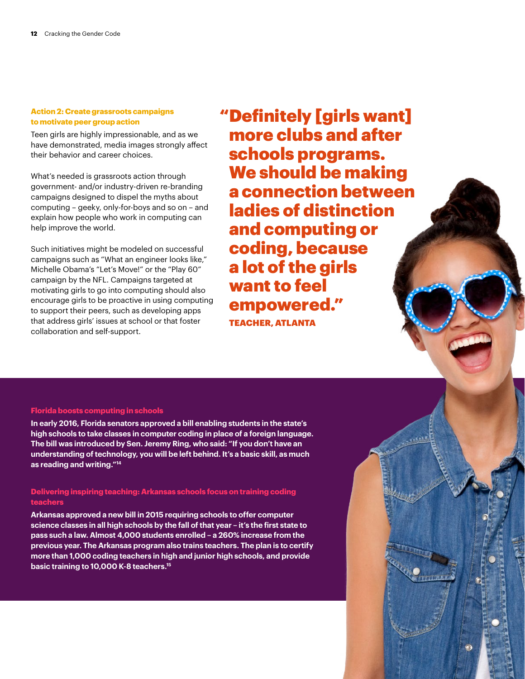#### **Action 2: Create grassroots campaigns to motivate peer group action**

Teen girls are highly impressionable, and as we have demonstrated, media images strongly affect their behavior and career choices.

What's needed is grassroots action through government- and/or industry-driven re-branding campaigns designed to dispel the myths about computing – geeky, only-for-boys and so on – and explain how people who work in computing can help improve the world.

Such initiatives might be modeled on successful campaigns such as "What an engineer looks like," Michelle Obama's "Let's Move!" or the "Play 60" campaign by the NFL. Campaigns targeted at motivating girls to go into computing should also encourage girls to be proactive in using computing to support their peers, such as developing apps that address girls' issues at school or that foster collaboration and self-support.

"Definitely [girls want] more clubs and after schools programs. We should be making a connection between ladies of distinction and computing or coding, because a lot of the girls want to feel empowered." TEACHER, ATLANTA

#### **Florida boosts computing in schools**

**In early 2016, Florida senators approved a bill enabling students in the state's high schools to take classes in computer coding in place of a foreign language. The bill was introduced by Sen. Jeremy Ring, who said: "If you don't have an understanding of technology, you will be left behind. It's a basic skill, as much as reading and writing."14**

#### **Delivering inspiring teaching: Arkansas schools focus on training coding teachers**

**Arkansas approved a new bill in 2015 requiring schools to offer computer science classes in all high schools by the fall of that year – it's the first state to pass such a law. Almost 4,000 students enrolled – a 260% increase from the previous year. The Arkansas program also trains teachers. The plan is to certify more than 1,000 coding teachers in high and junior high schools, and provide basic training to 10,000 K-8 teachers.15**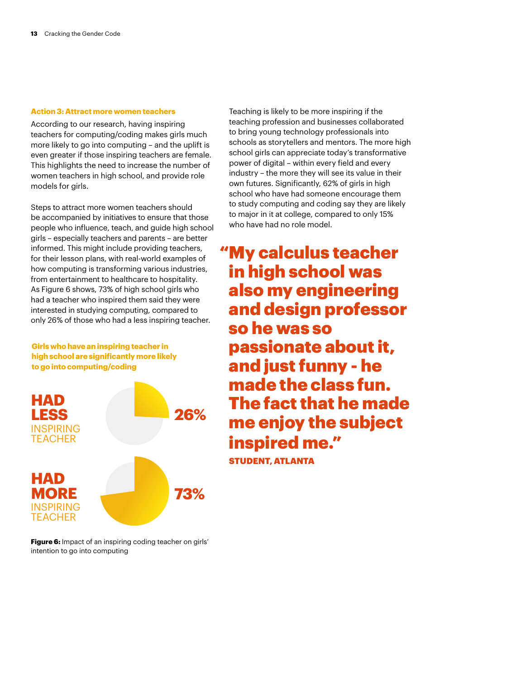#### **Action 3: Attract more women teachers**

According to our research, having inspiring teachers for computing/coding makes girls much more likely to go into computing – and the uplift is even greater if those inspiring teachers are female. This highlights the need to increase the number of women teachers in high school, and provide role models for girls.

Steps to attract more women teachers should be accompanied by initiatives to ensure that those people who influence, teach, and guide high school girls – especially teachers and parents – are better informed. This might include providing teachers, for their lesson plans, with real-world examples of how computing is transforming various industries, from entertainment to healthcare to hospitality. As Figure 6 shows, 73% of high school girls who had a teacher who inspired them said they were interested in studying computing, compared to only 26% of those who had a less inspiring teacher.

**Girls who have an inspiring teacher in high school are significantly more likely to go into computing/coding**



Teaching is likely to be more inspiring if the teaching profession and businesses collaborated to bring young technology professionals into schools as storytellers and mentors. The more high school girls can appreciate today's transformative power of digital – within every field and every industry – the more they will see its value in their own futures. Significantly, 62% of girls in high school who have had someone encourage them to study computing and coding say they are likely to major in it at college, compared to only 15% who have had no role model.

"My calculus teacher in high school was also my engineering and design professor so he was so passionate about it, and just funny - he made the class fun. The fact that he made me enjoy the subject inspired me." STUDENT, ATLANTA

**Figure 6:** Impact of an inspiring coding teacher on girls' intention to go into computing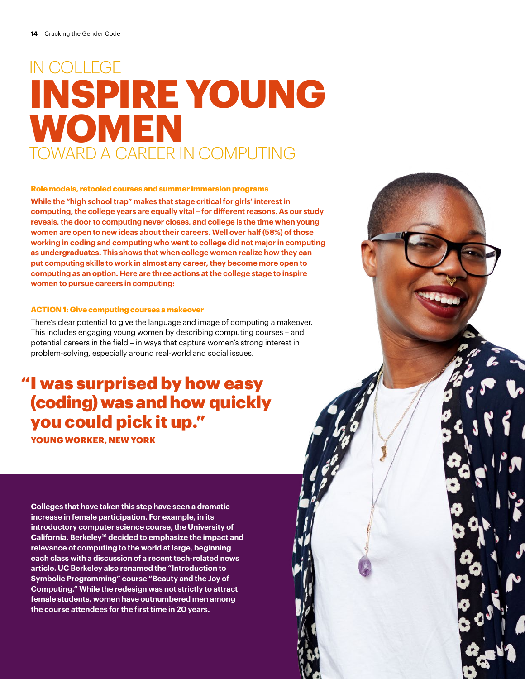## IN COLLEGE **INSPIRE YOUNG WOMEN** TOWARD A CAREER IN COMPUTING

#### **Role models, retooled courses and summer immersion programs**

**While the "high school trap" makes that stage critical for girls' interest in computing, the college years are equally vital – for different reasons. As our study reveals, the door to computing never closes, and college is the time when young women are open to new ideas about their careers. Well over half (58%) of those working in coding and computing who went to college did not major in computing as undergraduates. This shows that when college women realize how they can put computing skills to work in almost any career, they become more open to computing as an option. Here are three actions at the college stage to inspire women to pursue careers in computing:**

#### **ACTION 1: Give computing courses a makeover**

There's clear potential to give the language and image of computing a makeover. This includes engaging young women by describing computing courses – and potential careers in the field – in ways that capture women's strong interest in problem-solving, especially around real-world and social issues.

## "I was surprised by how easy (coding) was and how quickly you could pick it up."

YOUNG WORKER, NEW YORK

**Colleges that have taken this step have seen a dramatic increase in female participation. For example, in its introductory computer science course, the University of California, Berkeley16 decided to emphasize the impact and relevance of computing to the world at large, beginning each class with a discussion of a recent tech-related news article. UC Berkeley also renamed the "Introduction to Symbolic Programming" course "Beauty and the Joy of Computing." While the redesign was not strictly to attract female students, women have outnumbered men among the course attendees for the first time in 20 years.**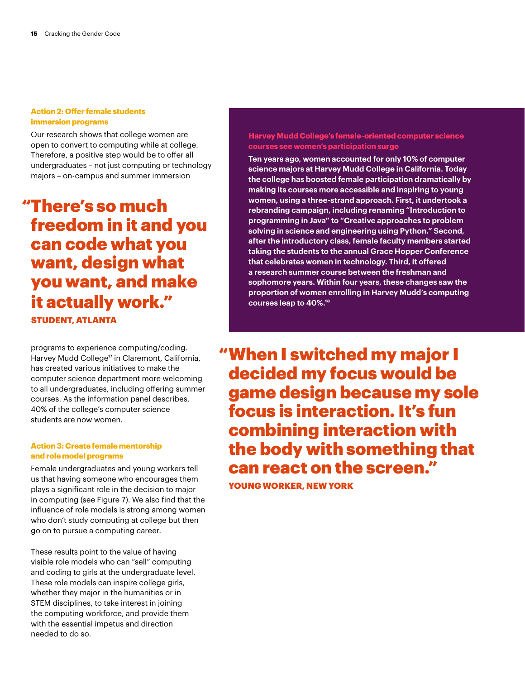#### **Action 2: Offer female students immersion programs**

Our research shows that college women are open to convert to computing while at college. Therefore, a positive step would be to offer all undergraduates – not just computing or technology majors – on-campus and summer immersion

"There's so much freedom in it and you can code what you want, design what you want, and make it actually work." STUDENT, ATLANTA

programs to experience computing/coding. Harvey Mudd College<sup>17</sup> in Claremont, California, has created various initiatives to make the computer science department more welcoming to all undergraduates, including offering summer courses. As the information panel describes, 40% of the college's computer science students are now women.

#### **Action 3: Create female mentorship and role model programs**

Female undergraduates and young workers tell us that having someone who encourages them plays a significant role in the decision to major in computing (see Figure 7). We also find that the influence of role models is strong among women who don't study computing at college but then go on to pursue a computing career.

These results point to the value of having visible role models who can "sell" computing and coding to girls at the undergraduate level. These role models can inspire college girls, whether they major in the humanities or in STEM disciplines, to take interest in joining the computing workforce, and provide them with the essential impetus and direction needed to do so.

#### **Harvey Mudd College's female-oriented computer science courses see women's participation surge**

**Ten years ago, women accounted for only 10% of computer science majors at Harvey Mudd College in California. Today the college has boosted female participation dramatically by making its courses more accessible and inspiring to young women, using a three-strand approach. First, it undertook a rebranding campaign, including renaming "Introduction to programming in Java" to "Creative approaches to problem solving in science and engineering using Python." Second, after the introductory class, female faculty members started taking the students to the annual Grace Hopper Conference that celebrates women in technology. Third, it offered a research summer course between the freshman and sophomore years. Within four years, these changes saw the proportion of women enrolling in Harvey Mudd's computing courses leap to 40%.18**

"When I switched my major I decided my focus would be game design because my sole focus is interaction. It's fun combining interaction with the body with something that can react on the screen."

YOUNG WORKER, NEW YORK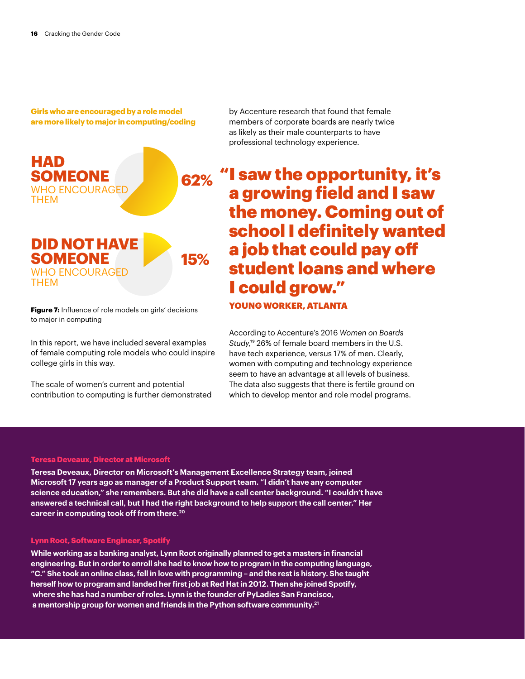**Girls who are encouraged by a role model are more likely to major in computing/coding**

WHO ENCOURAGED THEM **HAD SOMEONE 62%**

WHO ENCOURAGED THEM **DID NOT HAVE SOMEONE**

**Figure 7:** Influence of role models on girls' decisions to major in computing

In this report, we have included several examples of female computing role models who could inspire college girls in this way.

The scale of women's current and potential contribution to computing is further demonstrated by Accenture research that found that female members of corporate boards are nearly twice as likely as their male counterparts to have professional technology experience.

## 62% "I saw the opportunity, it's a growing field and I saw the money. Coming out of school I definitely wanted a job that could pay off student loans and where I could grow."

#### YOUNG WORKER, ATLANTA

According to Accenture's 2016 *Women on Boards Study*,19 26% of female board members in the U.S. have tech experience, versus 17% of men. Clearly, women with computing and technology experience seem to have an advantage at all levels of business. The data also suggests that there is fertile ground on which to develop mentor and role model programs.

#### **Teresa Deveaux, Director at Microsoft**

**Teresa Deveaux, Director on Microsoft's Management Excellence Strategy team, joined Microsoft 17 years ago as manager of a Product Support team. "I didn't have any computer science education," she remembers. But she did have a call center background. "I couldn't have answered a technical call, but I had the right background to help support the call center." Her career in computing took off from there.20**

**15%**

#### **Lynn Root, Software Engineer, Spotify**

**While working as a banking analyst, Lynn Root originally planned to get a masters in financial engineering. But in order to enroll she had to know how to program in the computing language, "C." She took an online class, fell in love with programming – and the rest is history. She taught herself how to program and landed her first job at Red Hat in 2012. Then she joined Spotify, where she has had a number of roles. Lynn is the founder of PyLadies San Francisco, a mentorship group for women and friends in the Python software community.21**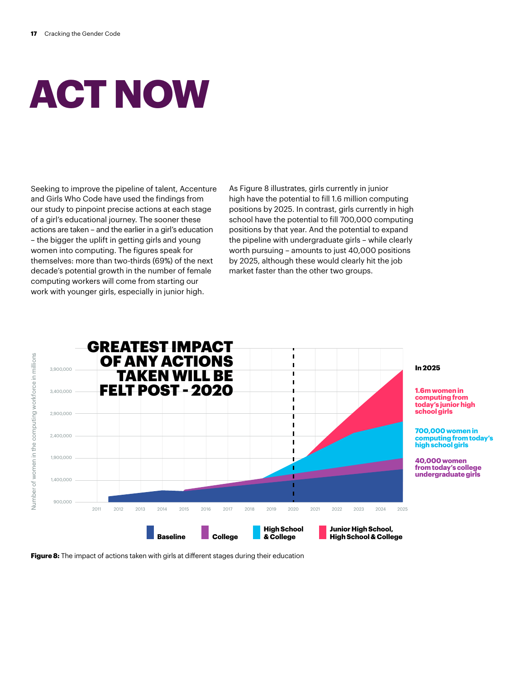# **ACT NOW**

Seeking to improve the pipeline of talent, Accenture and Girls Who Code have used the findings from our study to pinpoint precise actions at each stage of a girl's educational journey. The sooner these actions are taken – and the earlier in a girl's education – the bigger the uplift in getting girls and young women into computing. The figures speak for themselves: more than two-thirds (69%) of the next decade's potential growth in the number of female computing workers will come from starting our work with younger girls, especially in junior high.

As Figure 8 illustrates, girls currently in junior high have the potential to fill 1.6 million computing positions by 2025. In contrast, girls currently in high school have the potential to fill 700,000 computing positions by that year. And the potential to expand the pipeline with undergraduate girls – while clearly worth pursuing – amounts to just 40,000 positions by 2025, although these would clearly hit the job market faster than the other two groups.



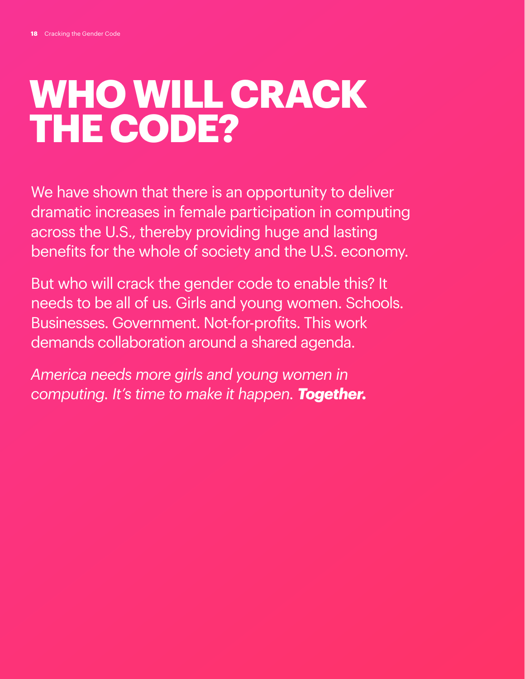# **WHO WILL CRACK THE CODE?**

We have shown that there is an opportunity to deliver dramatic increases in female participation in computing across the U.S., thereby providing huge and lasting benefits for the whole of society and the U.S. economy.

But who will crack the gender code to enable this? It needs to be all of us. Girls and young women. Schools. Businesses. Government. Not-for-profits. This work demands collaboration around a shared agenda.

*America needs more girls and young women in computing. It's time to make it happen. Together.*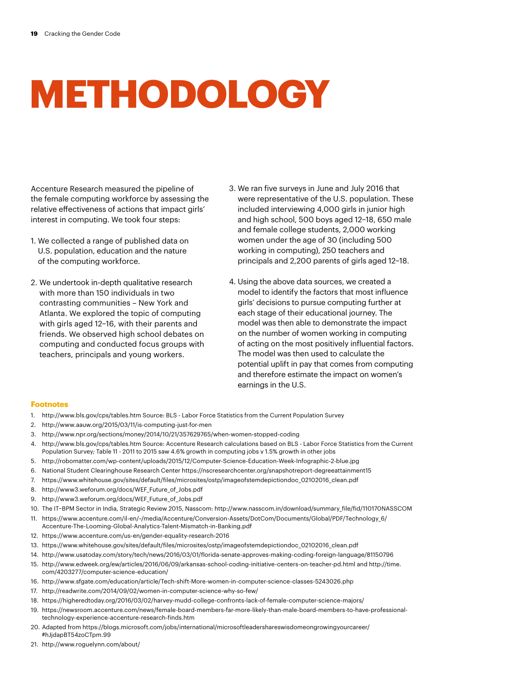# **METHODOLOGY**

Accenture Research measured the pipeline of the female computing workforce by assessing the relative effectiveness of actions that impact girls' interest in computing. We took four steps:

- 1. We collected a range of published data on U.S. population, education and the nature of the computing workforce.
- 2. We undertook in-depth qualitative research with more than 150 individuals in two contrasting communities – New York and Atlanta. We explored the topic of computing with girls aged 12–16, with their parents and friends. We observed high school debates on computing and conducted focus groups with teachers, principals and young workers.
- 3. We ran five surveys in June and July 2016 that were representative of the U.S. population. These included interviewing 4,000 girls in junior high and high school, 500 boys aged 12–18, 650 male and female college students, 2,000 working women under the age of 30 (including 500 working in computing), 250 teachers and principals and 2,200 parents of girls aged 12–18.
- 4. Using the above data sources, we created a model to identify the factors that most influence girls' decisions to pursue computing further at each stage of their educational journey. The model was then able to demonstrate the impact on the number of women working in computing of acting on the most positively influential factors. The model was then used to calculate the potential uplift in pay that comes from computing and therefore estimate the impact on women's earnings in the U.S.

#### **Footnotes**

- 1. [http://www.bls.gov/cps/tables.htm Source: BLS Labor Force Statistics from the Current Population Survey](http://www.bls.gov/cps/tables.htm)
- 2. <http://www.aauw.org/2015/03/11/is-computing-just-for-men>
- [3. http://www.npr.org/sections/money/2014/10/21/357629765/when-women-stopped-coding](http://www.npr.org/sections/money/2014/10/21/357629765/when-women-stopped-coding)
- [4. http://www.bls.gov/cps/tables.htm Source: Accenture Research calculations based on BLS Labor Force Statistics from the Current](http://www.bls.gov/cps/tables.htm)  [Population Survey; Table 11 - 2011 to 2015 saw 4.6% growth in computing jobs v 1.5% growth in other jobs](http://www.bls.gov/cps/tables.htm)
- 5. <http://robomatter.com/wp-content/uploads/2015/12/Computer-Science-Education-Week-Infographic-2-blue.jpg>
- 6. [National Student Clearinghouse Research Center https://nscresearchcenter.org/snapshotreport-degreeattainment15](https://nscresearchcenter.org/snapshotreport-degreeattainment15)
- [7. https://www.whitehouse.gov/sites/default/files/microsites/ostp/imageofstemdepictiondoc\\_02102016\\_clean.pdf](https://www.whitehouse.gov/sites/default/files/microsites/ostp/imageofstemdepictiondoc_02102016_clean.pdf)
- 8. [http://www3.weforum.org/docs/WEF\\_Future\\_of\\_Jobs.pdf](http://www3.weforum.org/docs/WEF_Future_of_Jobs.pdf)
- [9. http://www3.weforum.org/docs/WEF\\_Future\\_of\\_Jobs.pdf](http://www3.weforum.org/docs/WEF_Future_of_Jobs.pdf)
- [10. The IT–BPM Sector in India, Strategic Review 2015, Nasscom: http://www.nasscom.in/download/summary\\_file/fid/110170NASSCOM](http://www.nasscom.in/download/summary_file/fid/110170NASSCOM)
- [11. https://www.accenture.com/il-en/~/media/Accenture/Conversion-Assets/DotCom/Documents/Global/PDF/Technology\\_6/](https://www.accenture.com/il-en/~/media/Accenture/Conversion-Assets/DotCom/Documents/Global/PDF/Technology_6/Accenture-The-Looming-Global-Analytics-Talent-Mismatch-in-Banking.pdf)
- [Accenture-The-Looming-Global-Analytics-Talent-Mismatch-in-Banking.pdf](https://www.accenture.com/il-en/~/media/Accenture/Conversion-Assets/DotCom/Documents/Global/PDF/Technology_6/Accenture-The-Looming-Global-Analytics-Talent-Mismatch-in-Banking.pdf)
- 12. <https://www.accenture.com/us-en/gender-equality-research-2016>
- [13. https://www.whitehouse.gov/sites/default/files/microsites/ostp/imageofstemdepictiondoc\\_02102016\\_clean.pdf](https://www.whitehouse.gov/sites/default/files/microsites/ostp/imageofstemdepictiondoc_02102016_clean.pdf)
- [14. http://www.usatoday.com/story/tech/news/2016/03/01/florida-senate-approves-making-coding-foreign-language/81150796](http://www.usatoday.com/story/tech/news/2016/03/01/florida-senate-approves-making-coding-foreign-language/81150796/)
- 15. <http://www.edweek.org/ew/articles/2016/06/09/arkansas-school-coding-initiative-centers-on-teacher-pd.html>and [http://time.](http://time.com/4203277/computer-science-education/) [com/4203277/computer-science-education/](http://time.com/4203277/computer-science-education/)
- [16. http://www.sfgate.com/education/article/Tech-shift-More-women-in-computer-science-classes-5243026.php](http://www.sfgate.com/education/article/Tech-shift-More-women-in-computer-science-classes-5243026.php)
- [17. http://readwrite.com/2014/09/02/women-in-computer-science-why-so-few/](http://readwrite.com/2014/09/02/women-in-computer-science-why-so-few/)
- [18. https://higheredtoday.org/2016/03/02/harvey-mudd-college-confronts-lack-of-female-computer-science-majors/](https://higheredtoday.org/2016/03/02/harvey-mudd-college-confronts-lack-of-female-computer-science-majors/)
- [19. https://newsroom.accenture.com/news/female-board-members-far-more-likely-than-male-board-members-to-have-professional](https://newsroom.accenture.com/news/female-board-members-far-more-likely-than-male-board-members-to-have-professional-technology-experience-accenture-research-finds.htm)[technology-experience-accenture-research-finds.htm](https://newsroom.accenture.com/news/female-board-members-far-more-likely-than-male-board-members-to-have-professional-technology-experience-accenture-research-finds.htm)
- [20. Adapted from https://blogs.microsoft.com/jobs/international/microsoftleadershareswisdomeongrowingyourcareer/](https://blogs.microsoft.com/jobs/international/microsoftleadershareswisdomeongrowingyourcareer/#hJjdapBT54zoCTpm.99) [#hJjdapBT54zoCTpm.99](https://blogs.microsoft.com/jobs/international/microsoftleadershareswisdomeongrowingyourcareer/#hJjdapBT54zoCTpm.99)
- [21. http://www.roguelynn.com/about/](http://www.roguelynn.com/about/)